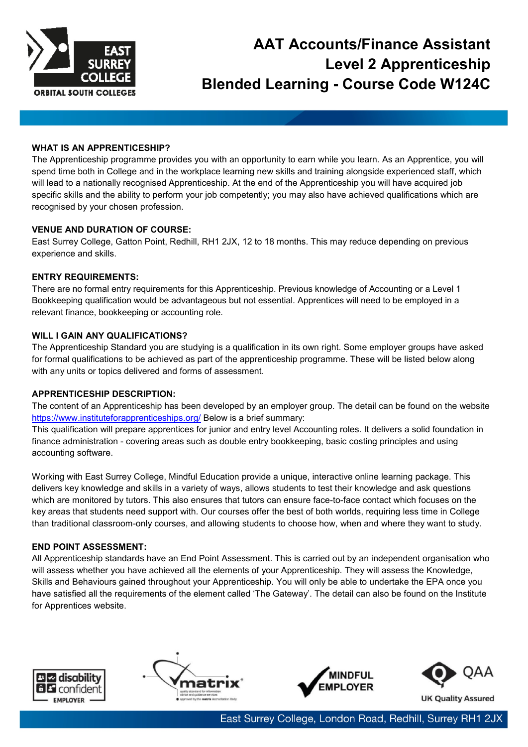

# **AAT Accounts/Finance Assistant Level 2 Apprenticeship Blended Learning - Course Code W124C**

## **WHAT IS AN APPRENTICESHIP?**

The Apprenticeship programme provides you with an opportunity to earn while you learn. As an Apprentice, you will spend time both in College and in the workplace learning new skills and training alongside experienced staff, which will lead to a nationally recognised Apprenticeship. At the end of the Apprenticeship you will have acquired job specific skills and the ability to perform your job competently; you may also have achieved qualifications which are recognised by your chosen profession.

## **VENUE AND DURATION OF COURSE:**

East Surrey College, Gatton Point, Redhill, RH1 2JX, 12 to 18 months. This may reduce depending on previous experience and skills.

## **ENTRY REQUIREMENTS:**

There are no formal entry requirements for this Apprenticeship. Previous knowledge of Accounting or a Level 1 Bookkeeping qualification would be advantageous but not essential. Apprentices will need to be employed in a relevant finance, bookkeeping or accounting role.

## **WILL I GAIN ANY QUALIFICATIONS?**

The Apprenticeship Standard you are studying is a qualification in its own right. Some employer groups have asked for formal qualifications to be achieved as part of the apprenticeship programme. These will be listed below along with any units or topics delivered and forms of assessment.

## **APPRENTICESHIP DESCRIPTION:**

The content of an Apprenticeship has been developed by an employer group. The detail can be found on the website <https://www.instituteforapprenticeships.org/> Below is a brief summary:

This qualification will prepare apprentices for junior and entry level Accounting roles. It delivers a solid foundation in finance administration - covering areas such as double entry bookkeeping, basic costing principles and using accounting software.

Working with East Surrey College, Mindful Education provide a unique, interactive online learning package. This delivers key knowledge and skills in a variety of ways, allows students to test their knowledge and ask questions which are monitored by tutors. This also ensures that tutors can ensure face-to-face contact which focuses on the key areas that students need support with. Our courses offer the best of both worlds, requiring less time in College than traditional classroom-only courses, and allowing students to choose how, when and where they want to study.

## **END POINT ASSESSMENT:**

All Apprenticeship standards have an End Point Assessment. This is carried out by an independent organisation who will assess whether you have achieved all the elements of your Apprenticeship. They will assess the Knowledge, Skills and Behaviours gained throughout your Apprenticeship. You will only be able to undertake the EPA once you have satisfied all the requirements of the element called 'The Gateway'. The detail can also be found on the Institute for Apprentices website.